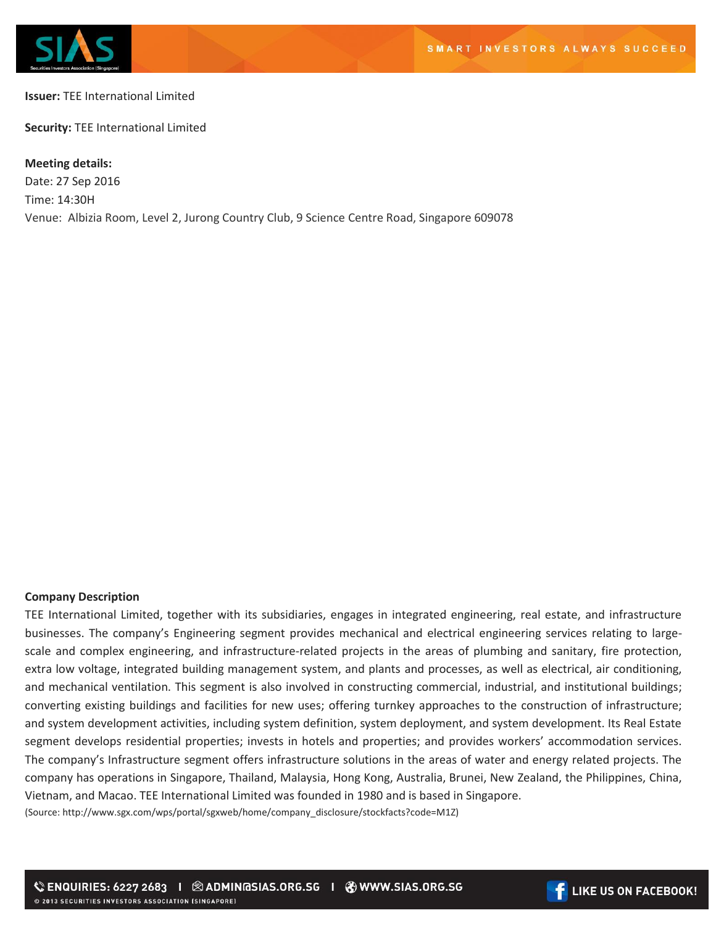

## **Issuer:** TEE International Limited

**Security:** TEE International Limited

## **Meeting details:**

Date: 27 Sep 2016 Time: 14:30H Venue: Albizia Room, Level 2, Jurong Country Club, 9 Science Centre Road, Singapore 609078

## **Company Description**

TEE International Limited, together with its subsidiaries, engages in integrated engineering, real estate, and infrastructure businesses. The company's Engineering segment provides mechanical and electrical engineering services relating to largescale and complex engineering, and infrastructure-related projects in the areas of plumbing and sanitary, fire protection, extra low voltage, integrated building management system, and plants and processes, as well as electrical, air conditioning, and mechanical ventilation. This segment is also involved in constructing commercial, industrial, and institutional buildings; converting existing buildings and facilities for new uses; offering turnkey approaches to the construction of infrastructure; and system development activities, including system definition, system deployment, and system development. Its Real Estate segment develops residential properties; invests in hotels and properties; and provides workers' accommodation services. The company's Infrastructure segment offers infrastructure solutions in the areas of water and energy related projects. The company has operations in Singapore, Thailand, Malaysia, Hong Kong, Australia, Brunei, New Zealand, the Philippines, China, Vietnam, and Macao. TEE International Limited was founded in 1980 and is based in Singapore.

(Source: http://www.sgx.com/wps/portal/sgxweb/home/company\_disclosure/stockfacts?code=M1Z)

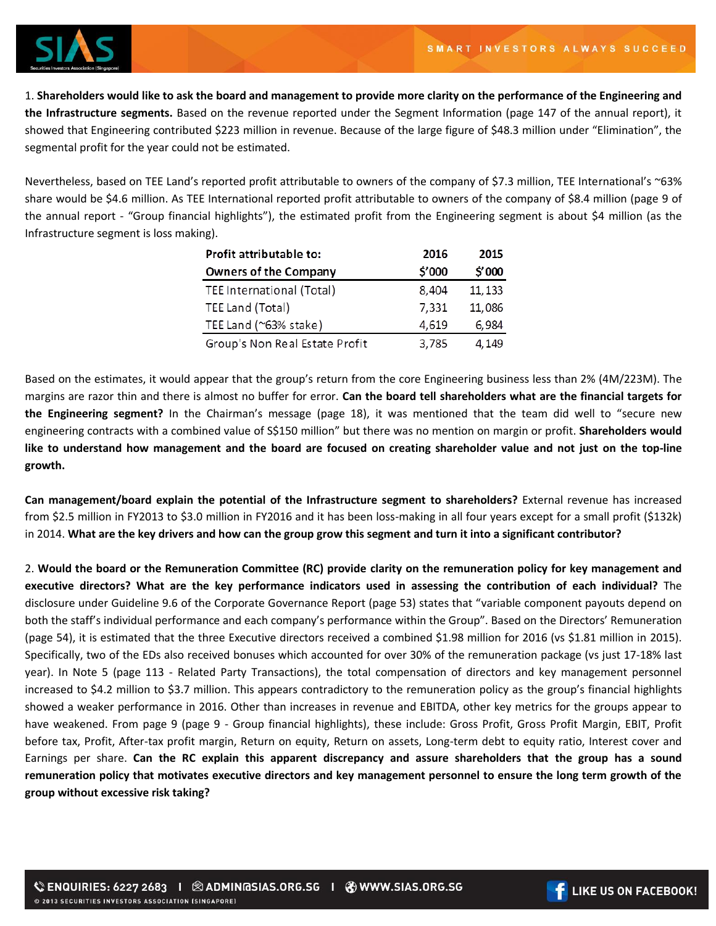

1. **Shareholders would like to ask the board and management to provide more clarity on the performance of the Engineering and the Infrastructure segments.** Based on the revenue reported under the Segment Information (page 147 of the annual report), it showed that Engineering contributed \$223 million in revenue. Because of the large figure of \$48.3 million under "Elimination", the segmental profit for the year could not be estimated.

Nevertheless, based on TEE Land's reported profit attributable to owners of the company of \$7.3 million, TEE International's ~63% share would be \$4.6 million. As TEE International reported profit attributable to owners of the company of \$8.4 million (page 9 of the annual report - "Group financial highlights"), the estimated profit from the Engineering segment is about \$4 million (as the Infrastructure segment is loss making).

| Profit attributable to:         | 2016   | 2015    |
|---------------------------------|--------|---------|
| Owners of the Company           | \$'000 | \$'000  |
| TEE International (Total)       | 8,404  | 11, 133 |
| TEE Land (Total)                | 7,331  | 11,086  |
| TEE Land ( $\approx$ 63% stake) | 4,619  | 6,984   |
| Group's Non Real Estate Profit  | 3,785  | 4,149   |

Based on the estimates, it would appear that the group's return from the core Engineering business less than 2% (4M/223M). The margins are razor thin and there is almost no buffer for error. **Can the board tell shareholders what are the financial targets for the Engineering segment?** In the Chairman's message (page 18), it was mentioned that the team did well to "secure new engineering contracts with a combined value of S\$150 million" but there was no mention on margin or profit. **Shareholders would like to understand how management and the board are focused on creating shareholder value and not just on the top-line growth.**

**Can management/board explain the potential of the Infrastructure segment to shareholders?** External revenue has increased from \$2.5 million in FY2013 to \$3.0 million in FY2016 and it has been loss-making in all four years except for a small profit (\$132k) in 2014. **What are the key drivers and how can the group grow this segment and turn it into a significant contributor?**

2. **Would the board or the Remuneration Committee (RC) provide clarity on the remuneration policy for key management and executive directors? What are the key performance indicators used in assessing the contribution of each individual?** The disclosure under Guideline 9.6 of the Corporate Governance Report (page 53) states that "variable component payouts depend on both the staff's individual performance and each company's performance within the Group". Based on the Directors' Remuneration (page 54), it is estimated that the three Executive directors received a combined \$1.98 million for 2016 (vs \$1.81 million in 2015). Specifically, two of the EDs also received bonuses which accounted for over 30% of the remuneration package (vs just 17-18% last year). In Note 5 (page 113 - Related Party Transactions), the total compensation of directors and key management personnel increased to \$4.2 million to \$3.7 million. This appears contradictory to the remuneration policy as the group's financial highlights showed a weaker performance in 2016. Other than increases in revenue and EBITDA, other key metrics for the groups appear to have weakened. From page 9 (page 9 - Group financial highlights), these include: Gross Profit, Gross Profit Margin, EBIT, Profit before tax, Profit, After-tax profit margin, Return on equity, Return on assets, Long-term debt to equity ratio, Interest cover and Earnings per share. **Can the RC explain this apparent discrepancy and assure shareholders that the group has a sound remuneration policy that motivates executive directors and key management personnel to ensure the long term growth of the group without excessive risk taking?**